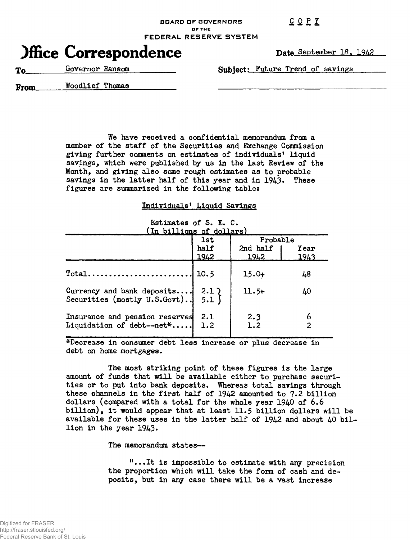COP I

**ar THE**

**FEDERAL RESERVE SYSTEM**

**BOARD OF GOVERNORS**

## **Office Correspondence**

**Date** September 18, 1942

**To.** Governor Ransom **Subject**: Future Trend of savings

**From\_** Woodlief Thomas

We have received a confidential memorandum from a member of the staff of the Securities and Exchange Commission giving further comments on estimates of individuals' liquid savings, which were published by us in the last Review of the Month, and giving also some rough estimates as to probable savings in the latter half of this year and in 1943. These figures are summarized in the following table:

## Individuals' Liquid Savings

|  | Estimates of S. E. C.               |  |  |
|--|-------------------------------------|--|--|
|  | $(\text{In } h$ illione of dollare) |  |  |

| (In billions of dollars)                                             |              |                  |              |  |  |  |
|----------------------------------------------------------------------|--------------|------------------|--------------|--|--|--|
|                                                                      | <b>lst</b>   | Probable         |              |  |  |  |
|                                                                      | half<br>1942 | 2nd half<br>1942 | Year<br>1943 |  |  |  |
| $Total \ldots \ldots \ldots \ldots \ldots$                           | 10.5         | $15.0+$          | 48           |  |  |  |
| Currency and bank deposits 2.1)<br>Securities (mostly U.S.Govt) 5.1) |              | $11.5+$          | 40           |  |  |  |
| Insurance and pension reserves<br>Liquidation of debt-net*           | 2.1<br>1.2   | 2.3<br>1.2       | 2            |  |  |  |

^Decrease in consumer debt less increase or plus decrease in debt on home mortgages.

The most striking point of these figures is the large amount of funds that will be available either to purchase securities or to put into bank deposits. Whereas total savings through these channels in the first half of 1942 amounted to 7.2 billion dollars (compared with a total for the whole year 1940 of 6.6 billion), it would appear that at least 11.5 billion dollars will be available for these uses in the latter half of 1942 and about 40 billion in the year 1943.

The memorandum states—

"...It is impossible to estimate with any precision the proportion which will take the form of cash and deposits, but in any case there will be a vast increase